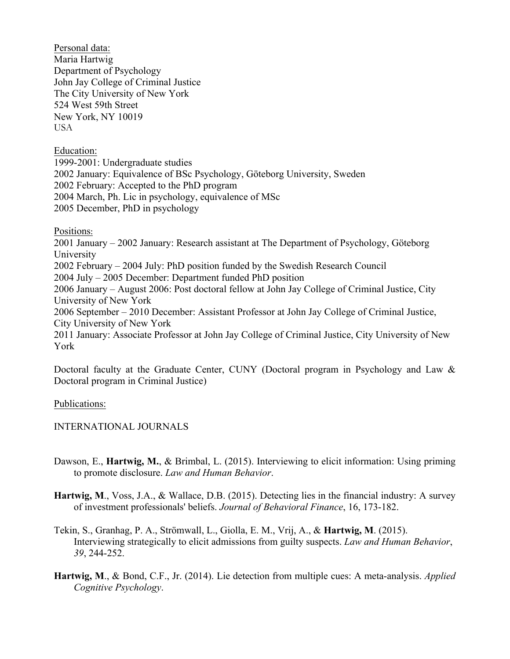Personal data: Maria Hartwig Department of Psychology John Jay College of Criminal Justice The City University of New York 524 West 59th Street New York, NY 10019 USA

Education:

1999-2001: Undergraduate studies 2002 January: Equivalence of BSc Psychology, Göteborg University, Sweden 2002 February: Accepted to the PhD program 2004 March, Ph. Lic in psychology, equivalence of MSc 2005 December, PhD in psychology

Positions:

2001 January – 2002 January: Research assistant at The Department of Psychology, Göteborg University 2002 February – 2004 July: PhD position funded by the Swedish Research Council 2004 July – 2005 December: Department funded PhD position 2006 January – August 2006: Post doctoral fellow at John Jay College of Criminal Justice, City University of New York 2006 September – 2010 December: Assistant Professor at John Jay College of Criminal Justice, City University of New York 2011 January: Associate Professor at John Jay College of Criminal Justice, City University of New York

Doctoral faculty at the Graduate Center, CUNY (Doctoral program in Psychology and Law & Doctoral program in Criminal Justice)

Publications:

INTERNATIONAL JOURNALS

- Dawson, E., **Hartwig, M.**, & Brimbal, L. (2015). Interviewing to elicit information: Using priming to promote disclosure. *Law and Human Behavior*.
- **Hartwig, M**., Voss, J.A., & Wallace, D.B. (2015). Detecting lies in the financial industry: A survey of investment professionals' beliefs. *Journal of Behavioral Finance*, 16, 173-182.
- Tekin, S., Granhag, P. A., Strömwall, L., Giolla, E. M., Vrij, A., & **Hartwig, M**. (2015). Interviewing strategically to elicit admissions from guilty suspects. *Law and Human Behavior*, *39*, 244-252.
- **Hartwig, M**., & Bond, C.F., Jr. (2014). Lie detection from multiple cues: A meta-analysis. *Applied Cognitive Psychology*.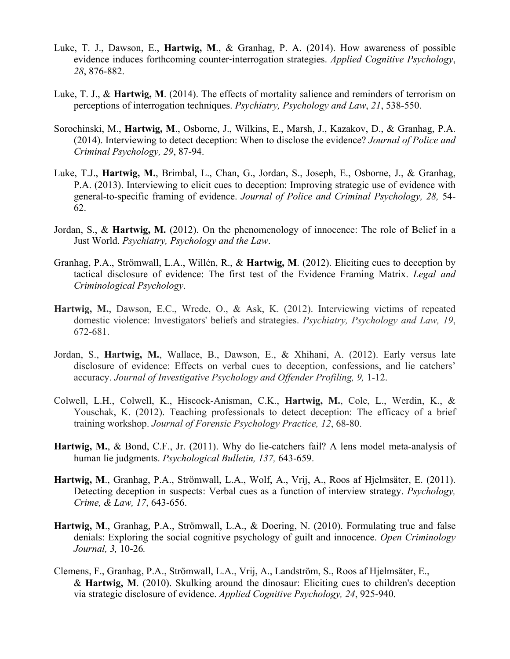- Luke, T. J., Dawson, E., **Hartwig, M**., & Granhag, P. A. (2014). How awareness of possible evidence induces forthcoming counter‐interrogation strategies. *Applied Cognitive Psychology*, *28*, 876-882.
- Luke, T. J., & **Hartwig, M**. (2014). The effects of mortality salience and reminders of terrorism on perceptions of interrogation techniques. *Psychiatry, Psychology and Law*, *21*, 538-550.
- Sorochinski, M., **Hartwig, M**., Osborne, J., Wilkins, E., Marsh, J., Kazakov, D., & Granhag, P.A. (2014). Interviewing to detect deception: When to disclose the evidence? *Journal of Police and Criminal Psychology, 29*, 87-94.
- Luke, T.J., **Hartwig, M.**, Brimbal, L., Chan, G., Jordan, S., Joseph, E., Osborne, J., & Granhag, P.A. (2013). Interviewing to elicit cues to deception: Improving strategic use of evidence with general-to-specific framing of evidence. *Journal of Police and Criminal Psychology, 28,* 54- 62.
- Jordan, S., & **Hartwig, M.** (2012). On the phenomenology of innocence: The role of Belief in a Just World. *Psychiatry, Psychology and the Law*.
- Granhag, P.A., Strömwall, L.A., Willén, R., & **Hartwig, M**. (2012). Eliciting cues to deception by tactical disclosure of evidence: The first test of the Evidence Framing Matrix. *Legal and Criminological Psychology*.
- **Hartwig, M.**, Dawson, E.C., Wrede, O., & Ask, K. (2012). Interviewing victims of repeated domestic violence: Investigators' beliefs and strategies. *Psychiatry, Psychology and Law, 19*, 672-681.
- Jordan, S., **Hartwig, M.**, Wallace, B., Dawson, E., & Xhihani, A. (2012). Early versus late disclosure of evidence: Effects on verbal cues to deception, confessions, and lie catchers' accuracy. *Journal of Investigative Psychology and Offender Profiling, 9,* 1-12.
- Colwell, L.H., Colwell, K., Hiscock-Anisman, C.K., **Hartwig, M.**, Cole, L., Werdin, K., & Youschak, K. (2012). Teaching professionals to detect deception: The efficacy of a brief training workshop. *Journal of Forensic Psychology Practice, 12*, 68-80.
- **Hartwig, M.**, & Bond, C.F., Jr. (2011). Why do lie-catchers fail? A lens model meta-analysis of human lie judgments. *Psychological Bulletin, 137,* 643-659.
- **Hartwig, M**., Granhag, P.A., Strömwall, L.A., Wolf, A., Vrij, A., Roos af Hjelmsäter, E. (2011). Detecting deception in suspects: Verbal cues as a function of interview strategy. *Psychology, Crime, & Law, 17*, 643-656.
- **Hartwig, M**., Granhag, P.A., Strömwall, L.A., & Doering, N. (2010). Formulating true and false denials: Exploring the social cognitive psychology of guilt and innocence. *Open Criminology Journal, 3,* 10-26*.*
- Clemens, F., Granhag, P.A., Strömwall, L.A., Vrij, A., Landström, S., Roos af Hjelmsäter, E., & **Hartwig, M**. (2010). Skulking around the dinosaur: Eliciting cues to children's deception via strategic disclosure of evidence. *Applied Cognitive Psychology, 24*, 925-940.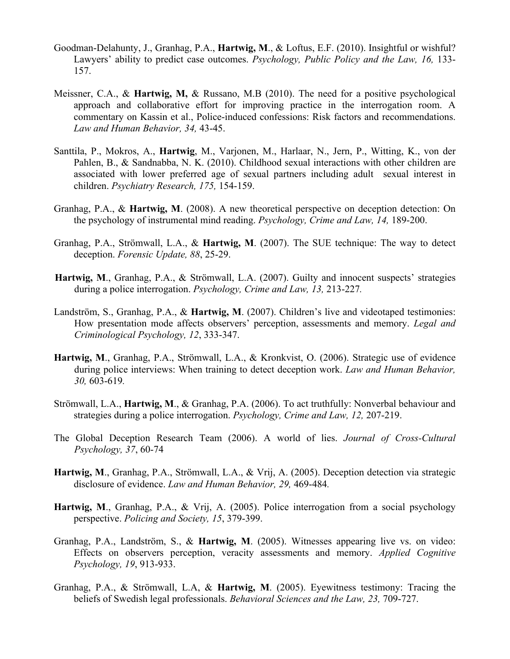- Goodman-Delahunty, J., Granhag, P.A., **Hartwig, M**., & Loftus, E.F. (2010). Insightful or wishful? Lawyers' ability to predict case outcomes. *Psychology, Public Policy and the Law, 16, 133-*157.
- Meissner, C.A., & **Hartwig, M,** & Russano, M.B (2010). The need for a positive psychological approach and collaborative effort for improving practice in the interrogation room. A commentary on Kassin et al., Police-induced confessions: Risk factors and recommendations. *Law and Human Behavior, 34,* 43-45.
- Santtila, P., Mokros, A., **Hartwig**, M., Varjonen, M., Harlaar, N., Jern, P., Witting, K., von der Pahlen, B., & Sandnabba, N. K. (2010). Childhood sexual interactions with other children are associated with lower preferred age of sexual partners including adult sexual interest in children. *Psychiatry Research, 175,* 154-159.
- Granhag, P.A., & **Hartwig, M**. (2008). A new theoretical perspective on deception detection: On the psychology of instrumental mind reading. *Psychology, Crime and Law, 14,* 189-200.
- Granhag, P.A., Strömwall, L.A., & **Hartwig, M**. (2007). The SUE technique: The way to detect deception. *Forensic Update, 88*, 25-29.
- **Hartwig, M**., Granhag, P.A., & Strömwall, L.A. (2007). Guilty and innocent suspects' strategies during a police interrogation. *Psychology, Crime and Law, 13,* 213-227*.*
- Landström, S., Granhag, P.A., & **Hartwig, M**. (2007). Children's live and videotaped testimonies: How presentation mode affects observers' perception, assessments and memory. *Legal and Criminological Psychology, 12*, 333-347.
- **Hartwig, M**., Granhag, P.A., Strömwall, L.A., & Kronkvist, O. (2006). Strategic use of evidence during police interviews: When training to detect deception work. *Law and Human Behavior, 30,* 603-619*.*
- Strömwall, L.A., **Hartwig, M**., & Granhag, P.A. (2006). To act truthfully: Nonverbal behaviour and strategies during a police interrogation. *Psychology, Crime and Law, 12,* 207-219.
- The Global Deception Research Team (2006). A world of lies. *Journal of Cross-Cultural Psychology, 37*, 60-74
- **Hartwig, M**., Granhag, P.A., Strömwall, L.A., & Vrij, A. (2005). Deception detection via strategic disclosure of evidence. *Law and Human Behavior, 29,* 469-484*.*
- **Hartwig, M**., Granhag, P.A., & Vrij, A. (2005). Police interrogation from a social psychology perspective. *Policing and Society, 15*, 379-399.
- Granhag, P.A., Landström, S., & **Hartwig, M**. (2005). Witnesses appearing live vs. on video: Effects on observers perception, veracity assessments and memory. *Applied Cognitive Psychology, 19*, 913-933.
- Granhag, P.A., & Strömwall, L.A, & **Hartwig, M**. (2005). Eyewitness testimony: Tracing the beliefs of Swedish legal professionals. *Behavioral Sciences and the Law, 23,* 709-727.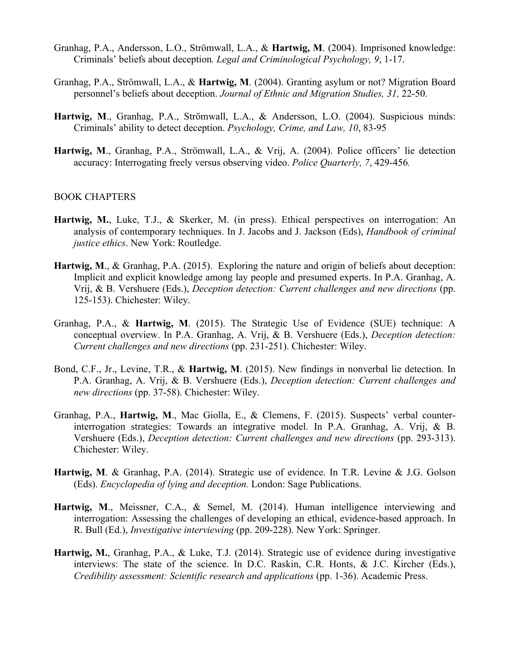- Granhag, P.A., Andersson, L.O., Strömwall, L.A., & **Hartwig, M**. (2004). Imprisoned knowledge: Criminals' beliefs about deception*. Legal and Criminological Psychology, 9*, 1-17.
- Granhag, P.A., Strömwall, L.A., & **Hartwig, M**. (2004). Granting asylum or not? Migration Board personnel's beliefs about deception. *Journal of Ethnic and Migration Studies, 31,* 22-50.
- **Hartwig, M**., Granhag, P.A., Strömwall, L.A., & Andersson, L.O. (2004). Suspicious minds: Criminals' ability to detect deception. *Psychology, Crime, and Law, 10*, 83-95
- **Hartwig, M**., Granhag, P.A., Strömwall, L.A., & Vrij, A. (2004). Police officers' lie detection accuracy: Interrogating freely versus observing video. *Police Quarterly, 7*, 429-456*.*

## BOOK CHAPTERS

- **Hartwig, M.**, Luke, T.J., & Skerker, M. (in press). Ethical perspectives on interrogation: An analysis of contemporary techniques. In J. Jacobs and J. Jackson (Eds), *Handbook of criminal justice ethics*. New York: Routledge.
- **Hartwig, M**., & Granhag, P.A. (2015). Exploring the nature and origin of beliefs about deception: Implicit and explicit knowledge among lay people and presumed experts. In P.A. Granhag, A. Vrij, & B. Vershuere (Eds.), *Deception detection: Current challenges and new directions* (pp. 125-153). Chichester: Wiley.
- Granhag, P.A., & **Hartwig, M**. (2015). The Strategic Use of Evidence (SUE) technique: A conceptual overview. In P.A. Granhag, A. Vrij, & B. Vershuere (Eds.), *Deception detection: Current challenges and new directions* (pp. 231-251). Chichester: Wiley.
- Bond, C.F., Jr., Levine, T.R., & **Hartwig, M**. (2015). New findings in nonverbal lie detection. In P.A. Granhag, A. Vrij, & B. Vershuere (Eds.), *Deception detection: Current challenges and new directions* (pp. 37-58). Chichester: Wiley.
- Granhag, P.A., **Hartwig, M**., Mac Giolla, E., & Clemens, F. (2015). Suspects' verbal counterinterrogation strategies: Towards an integrative model. In P.A. Granhag, A. Vrij, & B. Vershuere (Eds.), *Deception detection: Current challenges and new directions* (pp. 293-313). Chichester: Wiley.
- **Hartwig, M**. & Granhag, P.A. (2014). Strategic use of evidence. In T.R. Levine & J.G. Golson (Eds). *Encyclopedia of lying and deception.* London: Sage Publications.
- **Hartwig, M**., Meissner, C.A., & Semel, M. (2014). Human intelligence interviewing and interrogation: Assessing the challenges of developing an ethical, evidence-based approach. In R. Bull (Ed.), *Investigative interviewing* (pp. 209-228). New York: Springer.
- **Hartwig, M.**, Granhag, P.A., & Luke, T.J. (2014). Strategic use of evidence during investigative interviews: The state of the science. In D.C. Raskin, C.R. Honts, & J.C. Kircher (Eds.), *Credibility assessment: Scientific research and applications* (pp. 1-36). Academic Press.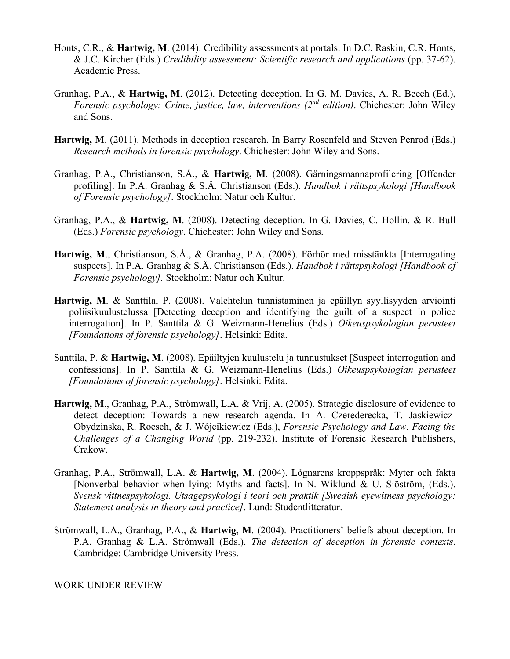- Honts, C.R., & **Hartwig, M**. (2014). Credibility assessments at portals. In D.C. Raskin, C.R. Honts, & J.C. Kircher (Eds.) *Credibility assessment: Scientific research and applications* (pp. 37-62). Academic Press.
- Granhag, P.A., & **Hartwig, M**. (2012). Detecting deception. In G. M. Davies, A. R. Beech (Ed.), *Forensic psychology: Crime, justice, law, interventions (2nd edition)*. Chichester: John Wiley and Sons.
- Hartwig, M. (2011). Methods in deception research. In Barry Rosenfeld and Steven Penrod (Eds.) *Research methods in forensic psychology*. Chichester: John Wiley and Sons.
- Granhag, P.A., Christianson, S.Å., & **Hartwig, M**. (2008). Gärningsmannaprofilering [Offender profiling]. In P.A. Granhag & S.Å. Christianson (Eds.). *Handbok i rättspsykologi [Handbook of Forensic psychology]*. Stockholm: Natur och Kultur.
- Granhag, P.A., & **Hartwig, M**. (2008). Detecting deception. In G. Davies, C. Hollin, & R. Bull (Eds.) *Forensic psychology*. Chichester: John Wiley and Sons.
- **Hartwig, M**., Christianson, S.Å., & Granhag, P.A. (2008). Förhör med misstänkta [Interrogating suspects]. In P.A. Granhag & S.Å. Christianson (Eds.). *Handbok i rättspsykologi [Handbook of Forensic psychology].* Stockholm: Natur och Kultur.
- **Hartwig, M**. & Santtila, P. (2008). Valehtelun tunnistaminen ja epäillyn syyllisyyden arviointi poliisikuulustelussa [Detecting deception and identifying the guilt of a suspect in police interrogation]. In P. Santtila & G. Weizmann-Henelius (Eds.) *Oikeuspsykologian perusteet [Foundations of forensic psychology]*. Helsinki: Edita.
- Santtila, P. & **Hartwig, M**. (2008). Epäiltyjen kuulustelu ja tunnustukset [Suspect interrogation and confessions]. In P. Santtila & G. Weizmann-Henelius (Eds.) *Oikeuspsykologian perusteet [Foundations of forensic psychology]*. Helsinki: Edita.
- **Hartwig, M**., Granhag, P.A., Strömwall, L.A. & Vrij, A. (2005). Strategic disclosure of evidence to detect deception: Towards a new research agenda. In A. Czerederecka, T. Jaskiewicz-Obydzinska, R. Roesch, & J. Wójcikiewicz (Eds.), *Forensic Psychology and Law. Facing the Challenges of a Changing World* (pp. 219-232). Institute of Forensic Research Publishers, Crakow.
- Granhag, P.A., Strömwall, L.A. & **Hartwig, M**. (2004). Lögnarens kroppspråk: Myter och fakta [Nonverbal behavior when lying: Myths and facts]. In N. Wiklund & U. Sjöström, (Eds.). *Svensk vittnespsykologi. Utsagepsykologi i teori och praktik [Swedish eyewitness psychology: Statement analysis in theory and practice]*. Lund: Studentlitteratur.
- Strömwall, L.A., Granhag, P.A., & **Hartwig, M**. (2004). Practitioners' beliefs about deception. In P.A. Granhag & L.A. Strömwall (Eds.). *The detection of deception in forensic contexts*. Cambridge: Cambridge University Press.

WORK UNDER REVIEW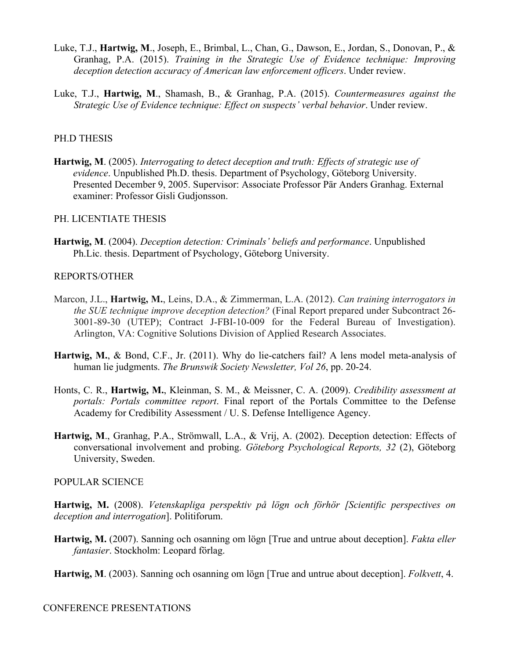- Luke, T.J., **Hartwig, M**., Joseph, E., Brimbal, L., Chan, G., Dawson, E., Jordan, S., Donovan, P., & Granhag, P.A. (2015). *Training in the Strategic Use of Evidence technique: Improving deception detection accuracy of American law enforcement officers*. Under review.
- Luke, T.J., **Hartwig, M**., Shamash, B., & Granhag, P.A. (2015). *Countermeasures against the Strategic Use of Evidence technique: Effect on suspects' verbal behavior*. Under review.

# PH.D THESIS

**Hartwig, M**. (2005). *Interrogating to detect deception and truth: Effects of strategic use of evidence*. Unpublished Ph.D. thesis. Department of Psychology, Göteborg University. Presented December 9, 2005. Supervisor: Associate Professor Pär Anders Granhag. External examiner: Professor Gisli Gudjonsson.

## PH. LICENTIATE THESIS

**Hartwig, M**. (2004). *Deception detection: Criminals' beliefs and performance*. Unpublished Ph.Lic. thesis. Department of Psychology, Göteborg University.

## REPORTS/OTHER

- Marcon, J.L., **Hartwig, M.**, Leins, D.A., & Zimmerman, L.A. (2012). *Can training interrogators in the SUE technique improve deception detection?* (Final Report prepared under Subcontract 26- 3001-89-30 (UTEP); Contract J-FBI-10-009 for the Federal Bureau of Investigation). Arlington, VA: Cognitive Solutions Division of Applied Research Associates.
- **Hartwig, M.**, & Bond, C.F., Jr. (2011). Why do lie-catchers fail? A lens model meta-analysis of human lie judgments. *The Brunswik Society Newsletter, Vol 26*, pp. 20-24.
- Honts, C. R., **Hartwig, M.**, Kleinman, S. M., & Meissner, C. A. (2009). *Credibility assessment at portals: Portals committee report*. Final report of the Portals Committee to the Defense Academy for Credibility Assessment / U. S. Defense Intelligence Agency.
- **Hartwig, M**., Granhag, P.A., Strömwall, L.A., & Vrij, A. (2002). Deception detection: Effects of conversational involvement and probing. *Göteborg Psychological Reports, 32* (2), Göteborg University, Sweden.

# POPULAR SCIENCE

- **Hartwig, M.** (2008). *Vetenskapliga perspektiv på lögn och förhör [Scientific perspectives on deception and interrogation*]. Politiforum.
- **Hartwig, M.** (2007). Sanning och osanning om lögn [True and untrue about deception]. *Fakta eller fantasier*. Stockholm: Leopard förlag.
- **Hartwig, M**. (2003). Sanning och osanning om lögn [True and untrue about deception]. *Folkvett*, 4.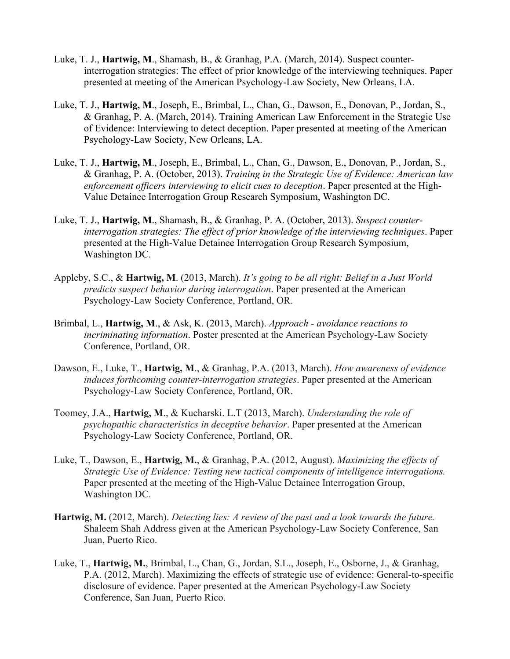- Luke, T. J., **Hartwig, M**., Shamash, B., & Granhag, P.A. (March, 2014). Suspect counterinterrogation strategies: The effect of prior knowledge of the interviewing techniques. Paper presented at meeting of the American Psychology-Law Society, New Orleans, LA.
- Luke, T. J., **Hartwig, M**., Joseph, E., Brimbal, L., Chan, G., Dawson, E., Donovan, P., Jordan, S., & Granhag, P. A. (March, 2014). Training American Law Enforcement in the Strategic Use of Evidence: Interviewing to detect deception. Paper presented at meeting of the American Psychology-Law Society, New Orleans, LA.
- Luke, T. J., **Hartwig, M**., Joseph, E., Brimbal, L., Chan, G., Dawson, E., Donovan, P., Jordan, S., & Granhag, P. A. (October, 2013). *Training in the Strategic Use of Evidence: American law enforcement officers interviewing to elicit cues to deception*. Paper presented at the High-Value Detainee Interrogation Group Research Symposium, Washington DC.
- Luke, T. J., **Hartwig, M**., Shamash, B., & Granhag, P. A. (October, 2013). *Suspect counterinterrogation strategies: The effect of prior knowledge of the interviewing techniques*. Paper presented at the High-Value Detainee Interrogation Group Research Symposium, Washington DC.
- Appleby, S.C., & **Hartwig, M**. (2013, March). *It's going to be all right: Belief in a Just World predicts suspect behavior during interrogation*. Paper presented at the American Psychology-Law Society Conference, Portland, OR.
- Brimbal, L., **Hartwig, M**., & Ask, K. (2013, March). *Approach - avoidance reactions to incriminating information*. Poster presented at the American Psychology-Law Society Conference, Portland, OR.
- Dawson, E., Luke, T., **Hartwig, M**., & Granhag, P.A. (2013, March). *How awareness of evidence induces forthcoming counter-interrogation strategies*. Paper presented at the American Psychology-Law Society Conference, Portland, OR.
- Toomey, J.A., **Hartwig, M**., & Kucharski. L.T (2013, March). *Understanding the role of psychopathic characteristics in deceptive behavior*. Paper presented at the American Psychology-Law Society Conference, Portland, OR.
- Luke, T., Dawson, E., **Hartwig, M.**, & Granhag, P.A. (2012, August). *Maximizing the effects of Strategic Use of Evidence: Testing new tactical components of intelligence interrogations.* Paper presented at the meeting of the High-Value Detainee Interrogation Group, Washington DC.
- **Hartwig, M.** (2012, March). *Detecting lies: A review of the past and a look towards the future.* Shaleem Shah Address given at the American Psychology-Law Society Conference, San Juan, Puerto Rico.
- Luke, T., **Hartwig, M.**, Brimbal, L., Chan, G., Jordan, S.L., Joseph, E., Osborne, J., & Granhag, P.A. (2012, March). Maximizing the effects of strategic use of evidence: General-to-specific disclosure of evidence. Paper presented at the American Psychology-Law Society Conference, San Juan, Puerto Rico.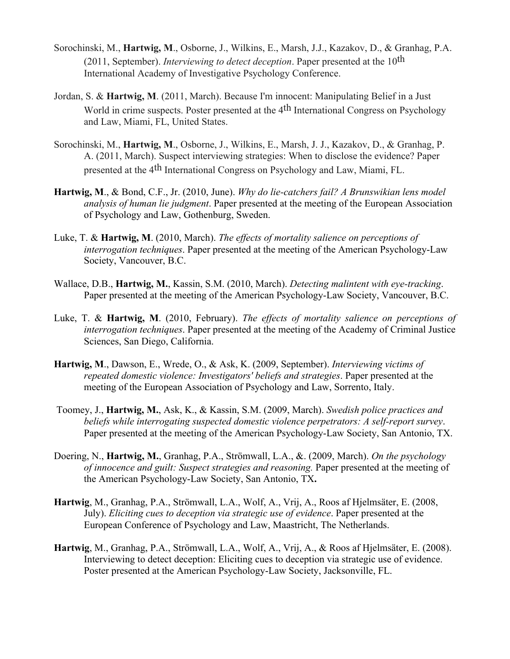- Sorochinski, M., **Hartwig, M**., Osborne, J., Wilkins, E., Marsh, J.J., Kazakov, D., & Granhag, P.A. (2011, September). *Interviewing to detect deception*. Paper presented at the 10th International Academy of Investigative Psychology Conference.
- Jordan, S. & **Hartwig, M**. (2011, March). Because I'm innocent: Manipulating Belief in a Just World in crime suspects. Poster presented at the 4<sup>th</sup> International Congress on Psychology and Law, Miami, FL, United States.
- Sorochinski, M., **Hartwig, M**., Osborne, J., Wilkins, E., Marsh, J. J., Kazakov, D., & Granhag, P. A. (2011, March). Suspect interviewing strategies: When to disclose the evidence? Paper presented at the 4th International Congress on Psychology and Law, Miami, FL.
- **Hartwig, M**., & Bond, C.F., Jr. (2010, June). *Why do lie-catchers fail? A Brunswikian lens model analysis of human lie judgment*. Paper presented at the meeting of the European Association of Psychology and Law, Gothenburg, Sweden.
- Luke, T. & **Hartwig, M**. (2010, March). *The effects of mortality salience on perceptions of interrogation techniques*. Paper presented at the meeting of the American Psychology-Law Society, Vancouver, B.C.
- Wallace, D.B., **Hartwig, M.**, Kassin, S.M. (2010, March). *Detecting malintent with eye-tracking*. Paper presented at the meeting of the American Psychology-Law Society, Vancouver, B.C.
- Luke, T. & **Hartwig, M**. (2010, February). *The effects of mortality salience on perceptions of interrogation techniques*. Paper presented at the meeting of the Academy of Criminal Justice Sciences, San Diego, California.
- **Hartwig, M**., Dawson, E., Wrede, O., & Ask, K. (2009, September). *Interviewing victims of repeated domestic violence: Investigators' beliefs and strategies*. Paper presented at the meeting of the European Association of Psychology and Law, Sorrento, Italy.
- Toomey, J., **Hartwig, M.**, Ask, K., & Kassin, S.M. (2009, March). *Swedish police practices and beliefs while interrogating suspected domestic violence perpetrators: A self-report survey*. Paper presented at the meeting of the American Psychology-Law Society, San Antonio, TX.
- Doering, N., **Hartwig, M.**, Granhag, P.A., Strömwall, L.A., &. (2009, March). *On the psychology of innocence and guilt: Suspect strategies and reasoning.* Paper presented at the meeting of the American Psychology-Law Society, San Antonio, TX**.**
- **Hartwig**, M., Granhag, P.A., Strömwall, L.A., Wolf, A., Vrij, A., Roos af Hjelmsäter, E. (2008, July). *Eliciting cues to deception via strategic use of evidence*. Paper presented at the European Conference of Psychology and Law, Maastricht, The Netherlands.
- **Hartwig**, M., Granhag, P.A., Strömwall, L.A., Wolf, A., Vrij, A., & Roos af Hjelmsäter, E. (2008). Interviewing to detect deception: Eliciting cues to deception via strategic use of evidence. Poster presented at the American Psychology-Law Society, Jacksonville, FL.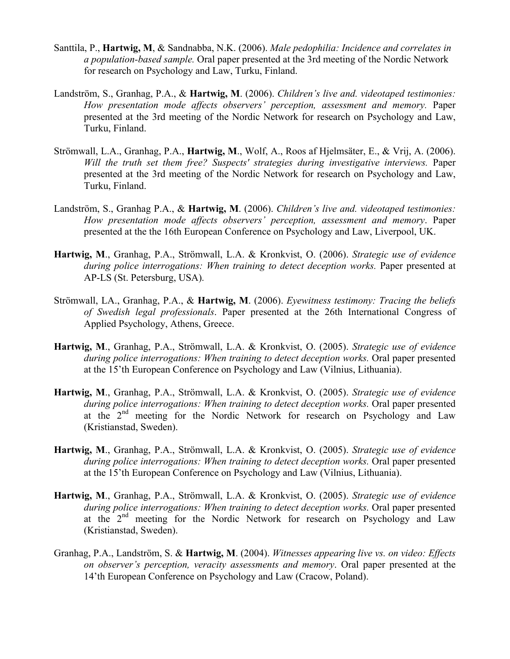- Santtila, P., **Hartwig, M**, & Sandnabba, N.K. (2006). *Male pedophilia: Incidence and correlates in a population-based sample.* Oral paper presented at the 3rd meeting of the Nordic Network for research on Psychology and Law, Turku, Finland.
- Landström, S., Granhag, P.A., & **Hartwig, M**. (2006). *Children's live and. videotaped testimonies: How presentation mode affects observers' perception, assessment and memory.* Paper presented at the 3rd meeting of the Nordic Network for research on Psychology and Law, Turku, Finland.
- Strömwall, L.A., Granhag, P.A., **Hartwig, M**., Wolf, A., Roos af Hjelmsäter, E., & Vrij, A. (2006). *Will the truth set them free? Suspects' strategies during investigative interviews.* Paper presented at the 3rd meeting of the Nordic Network for research on Psychology and Law, Turku, Finland.
- Landström, S., Granhag P.A., & **Hartwig, M**. (2006). *Children's live and. videotaped testimonies: How presentation mode affects observers' perception, assessment and memory*. Paper presented at the the 16th European Conference on Psychology and Law, Liverpool, UK.
- **Hartwig, M**., Granhag, P.A., Strömwall, L.A. & Kronkvist, O. (2006). *Strategic use of evidence during police interrogations: When training to detect deception works.* Paper presented at AP-LS (St. Petersburg, USA).
- Strömwall, LA., Granhag, P.A., & **Hartwig, M**. (2006). *Eyewitness testimony: Tracing the beliefs of Swedish legal professionals*. Paper presented at the 26th International Congress of Applied Psychology, Athens, Greece.
- **Hartwig, M**., Granhag, P.A., Strömwall, L.A. & Kronkvist, O. (2005). *Strategic use of evidence during police interrogations: When training to detect deception works.* Oral paper presented at the 15'th European Conference on Psychology and Law (Vilnius, Lithuania).
- **Hartwig, M**., Granhag, P.A., Strömwall, L.A. & Kronkvist, O. (2005). *Strategic use of evidence during police interrogations: When training to detect deception works.* Oral paper presented at the  $2<sup>nd</sup>$  meeting for the Nordic Network for research on Psychology and Law (Kristianstad, Sweden).
- **Hartwig, M**., Granhag, P.A., Strömwall, L.A. & Kronkvist, O. (2005). *Strategic use of evidence during police interrogations: When training to detect deception works.* Oral paper presented at the 15'th European Conference on Psychology and Law (Vilnius, Lithuania).
- **Hartwig, M**., Granhag, P.A., Strömwall, L.A. & Kronkvist, O. (2005). *Strategic use of evidence during police interrogations: When training to detect deception works.* Oral paper presented at the 2nd meeting for the Nordic Network for research on Psychology and Law (Kristianstad, Sweden).
- Granhag, P.A., Landström, S. & **Hartwig, M**. (2004). *Witnesses appearing live vs. on video: Effects on observer's perception, veracity assessments and memory*. Oral paper presented at the 14'th European Conference on Psychology and Law (Cracow, Poland).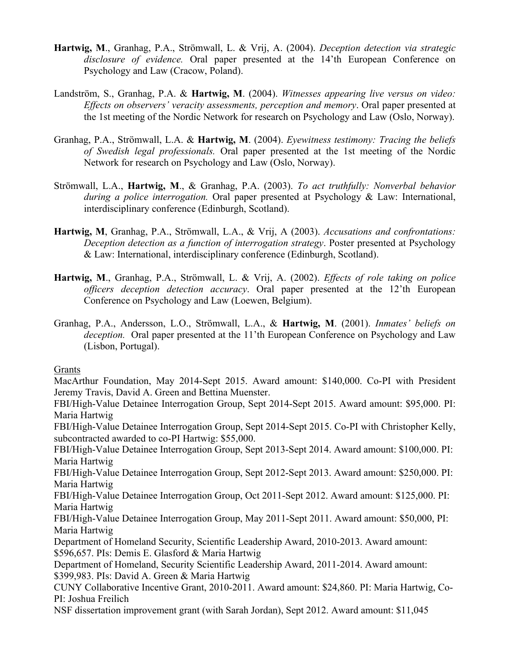- **Hartwig, M**., Granhag, P.A., Strömwall, L. & Vrij, A. (2004). *Deception detection via strategic disclosure of evidence.* Oral paper presented at the 14'th European Conference on Psychology and Law (Cracow, Poland).
- Landström, S., Granhag, P.A. & **Hartwig, M**. (2004). *Witnesses appearing live versus on video: Effects on observers' veracity assessments, perception and memory*. Oral paper presented at the 1st meeting of the Nordic Network for research on Psychology and Law (Oslo, Norway).
- Granhag, P.A., Strömwall, L.A. & **Hartwig, M**. (2004). *Eyewitness testimony: Tracing the beliefs of Swedish legal professionals.* Oral paper presented at the 1st meeting of the Nordic Network for research on Psychology and Law (Oslo, Norway).
- Strömwall, L.A., **Hartwig, M**., & Granhag, P.A. (2003). *To act truthfully: Nonverbal behavior during a police interrogation.* Oral paper presented at Psychology & Law: International, interdisciplinary conference (Edinburgh, Scotland).
- **Hartwig, M**, Granhag, P.A., Strömwall, L.A., & Vrij, A (2003). *Accusations and confrontations: Deception detection as a function of interrogation strategy*. Poster presented at Psychology & Law: International, interdisciplinary conference (Edinburgh, Scotland).
- **Hartwig, M**., Granhag, P.A., Strömwall, L. & Vrij, A. (2002). *Effects of role taking on police officers deception detection accuracy*. Oral paper presented at the 12'th European Conference on Psychology and Law (Loewen, Belgium).
- Granhag, P.A., Andersson, L.O., Strömwall, L.A., & **Hartwig, M**. (2001). *Inmates' beliefs on deception.* Oral paper presented at the 11'th European Conference on Psychology and Law (Lisbon, Portugal).

# Grants

MacArthur Foundation, May 2014-Sept 2015. Award amount: \$140,000. Co-PI with President Jeremy Travis, David A. Green and Bettina Muenster.

FBI/High-Value Detainee Interrogation Group, Sept 2014-Sept 2015. Award amount: \$95,000. PI: Maria Hartwig

FBI/High-Value Detainee Interrogation Group, Sept 2014-Sept 2015. Co-PI with Christopher Kelly, subcontracted awarded to co-PI Hartwig: \$55,000.

FBI/High-Value Detainee Interrogation Group, Sept 2013-Sept 2014. Award amount: \$100,000. PI: Maria Hartwig

FBI/High-Value Detainee Interrogation Group, Sept 2012-Sept 2013. Award amount: \$250,000. PI: Maria Hartwig

FBI/High-Value Detainee Interrogation Group, Oct 2011-Sept 2012. Award amount: \$125,000. PI: Maria Hartwig

FBI/High-Value Detainee Interrogation Group, May 2011-Sept 2011. Award amount: \$50,000, PI: Maria Hartwig

Department of Homeland Security, Scientific Leadership Award, 2010-2013. Award amount: \$596,657. PIs: Demis E. Glasford & Maria Hartwig

Department of Homeland, Security Scientific Leadership Award, 2011-2014. Award amount: \$399,983. PIs: David A. Green & Maria Hartwig

CUNY Collaborative Incentive Grant, 2010-2011. Award amount: \$24,860. PI: Maria Hartwig, Co-PI: Joshua Freilich

NSF dissertation improvement grant (with Sarah Jordan), Sept 2012. Award amount: \$11,045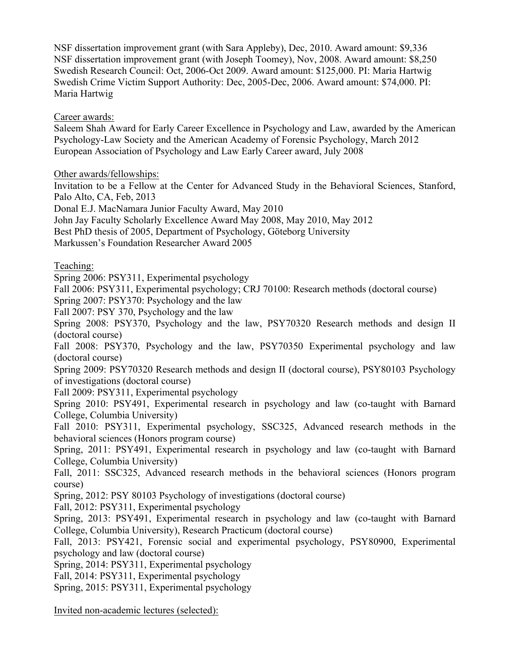NSF dissertation improvement grant (with Sara Appleby), Dec, 2010. Award amount: \$9,336 NSF dissertation improvement grant (with Joseph Toomey), Nov, 2008. Award amount: \$8,250 Swedish Research Council: Oct, 2006-Oct 2009. Award amount: \$125,000. PI: Maria Hartwig Swedish Crime Victim Support Authority: Dec, 2005-Dec, 2006. Award amount: \$74,000. PI: Maria Hartwig

Career awards:

Saleem Shah Award for Early Career Excellence in Psychology and Law, awarded by the American Psychology-Law Society and the American Academy of Forensic Psychology, March 2012 European Association of Psychology and Law Early Career award, July 2008

Other awards/fellowships:

Invitation to be a Fellow at the Center for Advanced Study in the Behavioral Sciences, Stanford, Palo Alto, CA, Feb, 2013

Donal E.J. MacNamara Junior Faculty Award, May 2010

John Jay Faculty Scholarly Excellence Award May 2008, May 2010, May 2012

Best PhD thesis of 2005, Department of Psychology, Göteborg University

Markussen's Foundation Researcher Award 2005

Teaching:

Spring 2006: PSY311, Experimental psychology

Fall 2006: PSY311, Experimental psychology; CRJ 70100: Research methods (doctoral course)

Spring 2007: PSY370: Psychology and the law

Fall 2007: PSY 370, Psychology and the law

Spring 2008: PSY370, Psychology and the law, PSY70320 Research methods and design II (doctoral course)

Fall 2008: PSY370, Psychology and the law, PSY70350 Experimental psychology and law (doctoral course)

Spring 2009: PSY70320 Research methods and design II (doctoral course), PSY80103 Psychology of investigations (doctoral course)

Fall 2009: PSY311, Experimental psychology

Spring 2010: PSY491, Experimental research in psychology and law (co-taught with Barnard College, Columbia University)

Fall 2010: PSY311, Experimental psychology, SSC325, Advanced research methods in the behavioral sciences (Honors program course)

Spring, 2011: PSY491, Experimental research in psychology and law (co-taught with Barnard College, Columbia University)

Fall, 2011: SSC325, Advanced research methods in the behavioral sciences (Honors program course)

Spring, 2012: PSY 80103 Psychology of investigations (doctoral course)

Fall, 2012: PSY311, Experimental psychology

Spring, 2013: PSY491, Experimental research in psychology and law (co-taught with Barnard College, Columbia University), Research Practicum (doctoral course)

Fall, 2013: PSY421, Forensic social and experimental psychology, PSY80900, Experimental psychology and law (doctoral course)

Spring, 2014: PSY311, Experimental psychology

Fall, 2014: PSY311, Experimental psychology

Spring, 2015: PSY311, Experimental psychology

Invited non-academic lectures (selected):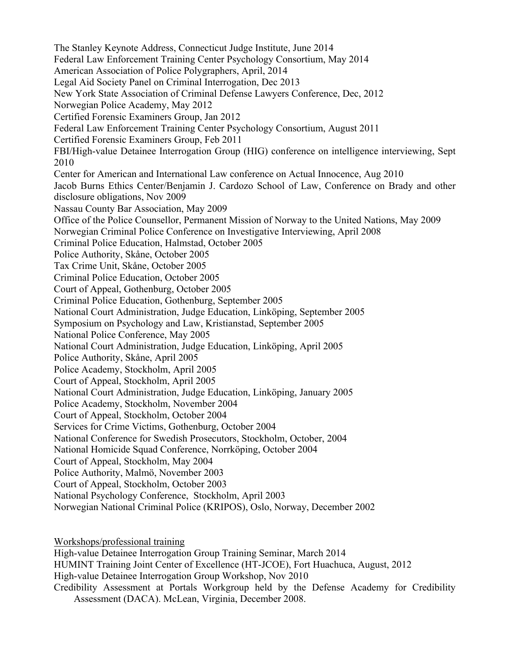The Stanley Keynote Address, Connecticut Judge Institute, June 2014 Federal Law Enforcement Training Center Psychology Consortium, May 2014 American Association of Police Polygraphers, April, 2014 Legal Aid Society Panel on Criminal Interrogation, Dec 2013 New York State Association of Criminal Defense Lawyers Conference, Dec, 2012 Norwegian Police Academy, May 2012 Certified Forensic Examiners Group, Jan 2012 Federal Law Enforcement Training Center Psychology Consortium, August 2011 Certified Forensic Examiners Group, Feb 2011 FBI/High-value Detainee Interrogation Group (HIG) conference on intelligence interviewing, Sept 2010 Center for American and International Law conference on Actual Innocence, Aug 2010 Jacob Burns Ethics Center/Benjamin J. Cardozo School of Law, Conference on Brady and other disclosure obligations, Nov 2009 Nassau County Bar Association, May 2009 Office of the Police Counsellor, Permanent Mission of Norway to the United Nations, May 2009 Norwegian Criminal Police Conference on Investigative Interviewing, April 2008 Criminal Police Education, Halmstad, October 2005 Police Authority, Skåne, October 2005 Tax Crime Unit, Skåne, October 2005 Criminal Police Education, October 2005 Court of Appeal, Gothenburg, October 2005 Criminal Police Education, Gothenburg, September 2005 National Court Administration, Judge Education, Linköping, September 2005 Symposium on Psychology and Law, Kristianstad, September 2005 National Police Conference, May 2005 National Court Administration, Judge Education, Linköping, April 2005 Police Authority, Skåne, April 2005 Police Academy, Stockholm, April 2005 Court of Appeal, Stockholm, April 2005 National Court Administration, Judge Education, Linköping, January 2005 Police Academy, Stockholm, November 2004 Court of Appeal, Stockholm, October 2004 Services for Crime Victims, Gothenburg, October 2004 National Conference for Swedish Prosecutors, Stockholm, October, 2004 National Homicide Squad Conference, Norrköping, October 2004 Court of Appeal, Stockholm, May 2004 Police Authority, Malmö, November 2003 Court of Appeal, Stockholm, October 2003 National Psychology Conference, Stockholm, April 2003 Norwegian National Criminal Police (KRIPOS), Oslo, Norway, December 2002

Workshops/professional training

High-value Detainee Interrogation Group Training Seminar, March 2014 HUMINT Training Joint Center of Excellence (HT-JCOE), Fort Huachuca, August, 2012 High-value Detainee Interrogation Group Workshop, Nov 2010 Credibility Assessment at Portals Workgroup held by the Defense Academy for Credibility Assessment (DACA). McLean, Virginia, December 2008.